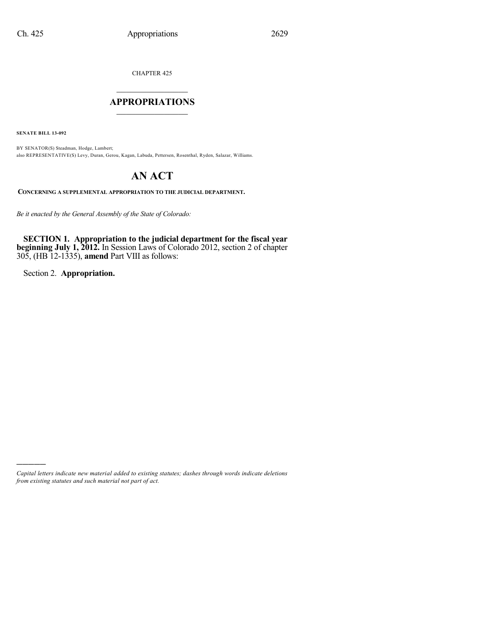CHAPTER 425

# $\mathcal{L}_\text{max}$  . The set of the set of the set of the set of the set of the set of the set of the set of the set of the set of the set of the set of the set of the set of the set of the set of the set of the set of the set **APPROPRIATIONS**  $\_$   $\_$   $\_$   $\_$   $\_$   $\_$   $\_$   $\_$

**SENATE BILL 13-092**

BY SENATOR(S) Steadman, Hodge, Lambert; also REPRESENTATIVE(S) Levy, Duran, Gerou, Kagan, Labuda, Pettersen, Rosenthal, Ryden, Salazar, Williams.

# **AN ACT**

**CONCERNING A SUPPLEMENTAL APPROPRIATION TO THE JUDICIAL DEPARTMENT.**

*Be it enacted by the General Assembly of the State of Colorado:*

**SECTION 1. Appropriation to the judicial department for the fiscal year beginning July 1, 2012.** In Session Laws of Colorado 2012, section 2 of chapter 305, (HB 12-1335), **amend** Part VIII as follows:

Section 2. **Appropriation.**

)))))

*Capital letters indicate new material added to existing statutes; dashes through words indicate deletions from existing statutes and such material not part of act.*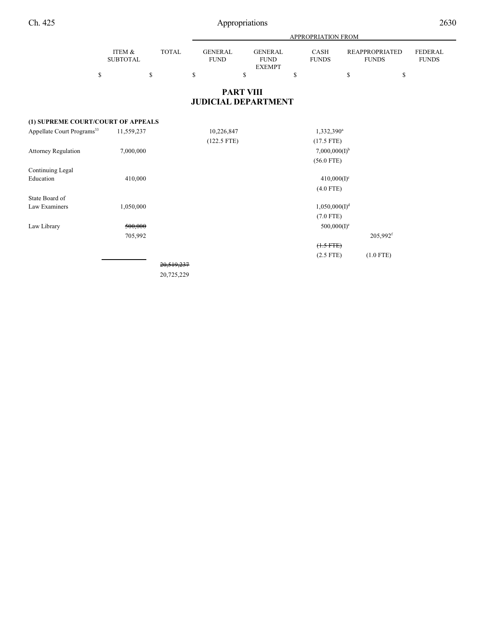|                                        |                                 |                              | APPROPRIATION FROM                  |                                                      |    |                           |    |                                             |                                |  |  |  |
|----------------------------------------|---------------------------------|------------------------------|-------------------------------------|------------------------------------------------------|----|---------------------------|----|---------------------------------------------|--------------------------------|--|--|--|
|                                        | ITEM &<br><b>SUBTOTAL</b><br>\$ | <b>TOTAL</b><br>$\mathbb{S}$ | <b>GENERAL</b><br><b>FUND</b><br>\$ | <b>GENERAL</b><br><b>FUND</b><br><b>EXEMPT</b><br>\$ | \$ | CASH<br><b>FUNDS</b>      | \$ | <b>REAPPROPRIATED</b><br><b>FUNDS</b><br>\$ | <b>FEDERAL</b><br><b>FUNDS</b> |  |  |  |
|                                        |                                 |                              |                                     | <b>PART VIII</b><br><b>JUDICIAL DEPARTMENT</b>       |    |                           |    |                                             |                                |  |  |  |
| (1) SUPREME COURT/COURT OF APPEALS     |                                 |                              |                                     |                                                      |    |                           |    |                                             |                                |  |  |  |
| Appellate Court Programs <sup>33</sup> | 11,559,237                      |                              | 10,226,847                          |                                                      |    | 1,332,390 <sup>a</sup>    |    |                                             |                                |  |  |  |
|                                        |                                 |                              | $(122.5$ FTE)                       |                                                      |    | $(17.5$ FTE)              |    |                                             |                                |  |  |  |
| <b>Attorney Regulation</b>             | 7,000,000                       |                              |                                     |                                                      |    | $7,000,000(I)^{b}$        |    |                                             |                                |  |  |  |
|                                        |                                 |                              |                                     |                                                      |    | $(56.0$ FTE)              |    |                                             |                                |  |  |  |
| Continuing Legal                       |                                 |                              |                                     |                                                      |    |                           |    |                                             |                                |  |  |  |
| Education                              | 410,000                         |                              |                                     |                                                      |    | $410,000(I)^c$            |    |                                             |                                |  |  |  |
|                                        |                                 |                              |                                     |                                                      |    | $(4.0$ FTE)               |    |                                             |                                |  |  |  |
| State Board of                         |                                 |                              |                                     |                                                      |    |                           |    |                                             |                                |  |  |  |
| Law Examiners                          | 1,050,000                       |                              |                                     |                                                      |    | 1,050,000(I) <sup>d</sup> |    |                                             |                                |  |  |  |
|                                        |                                 |                              |                                     |                                                      |    | $(7.0$ FTE)               |    |                                             |                                |  |  |  |
| Law Library                            | 500,000                         |                              |                                     |                                                      |    | $500,000(I)^e$            |    |                                             |                                |  |  |  |
|                                        | 705,992                         |                              |                                     |                                                      |    |                           |    | $205,992$ <sup>f</sup>                      |                                |  |  |  |
|                                        |                                 |                              |                                     |                                                      |    | $(1.5 FTE)$               |    |                                             |                                |  |  |  |
|                                        |                                 |                              |                                     |                                                      |    | $(2.5$ FTE)               |    | $(1.0$ FTE)                                 |                                |  |  |  |

20,519,237 20,725,229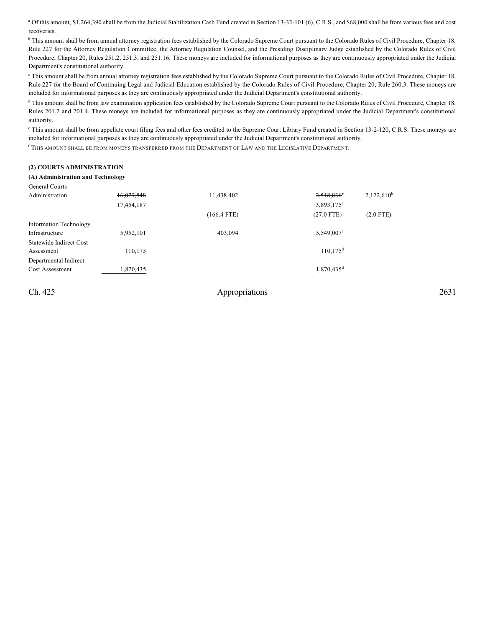<sup>a</sup> Of this amount, \$1,264,390 shall be from the Judicial Stabilization Cash Fund created in Section 13-32-101 (6), C.R.S., and \$68,000 shall be from various fees and cost recoveries.

<sup>b</sup> This amount shall be from annual attorney registration fees established by the Colorado Supreme Court pursuant to the Colorado Rules of Civil Procedure, Chapter 18, Rule 227 for the Attorney Regulation Committee, the Attorney Regulation Counsel, and the Presiding Disciplinary Judge established by the Colorado Rules of Civil Procedure, Chapter 20, Rules 251.2, 251.3, and 251.16. These moneys are included for informational purposes as they are continuously appropriated under the Judicial Department's constitutional authority.

<sup>c</sup> This amount shall be from annual attorney registration fees established by the Colorado Supreme Court pursuant to the Colorado Rules of Civil Procedure, Chapter 18, Rule 227 for the Board of Continuing Legal and Judicial Education established by the Colorado Rules of Civil Procedure, Chapter 20, Rule 260.3. These moneys are included for informational purposes as they are continuously appropriated under the Judicial Department's constitutional authority.

<sup>d</sup> This amount shall be from law examination application fees established by the Colorado Supreme Court pursuant to the Colorado Rules of Civil Procedure, Chapter 18, Rules 201.2 and 201.4. These moneys are included for informational purposes as they are continuously appropriated under the Judicial Department's constitutional authority.

<sup>e</sup> This amount shall be from appellate court filing fees and other fees credited to the Supreme Court Library Fund created in Section 13-2-120, C.R.S. These moneys are included for informational purposes as they are continuously appropriated under the Judicial Department's constitutional authority.

 $^{\rm f}$  This amount shall be from moneys transferred from the Department of Law and the Legislative Department.

#### **(2) COURTS ADMINISTRATION**

### **(A) Administration and Technology**

| General Courts          |            |               |                          |               |
|-------------------------|------------|---------------|--------------------------|---------------|
| Administration          | 16,079,848 | 11,438,402    | $2,518,836$ <sup>a</sup> | $2,122,610^b$ |
|                         | 17,454,187 |               | 3,893,175 <sup>a</sup>   |               |
|                         |            | $(166.4$ FTE) | $(27.0$ FTE)             | $(2.0$ FTE)   |
| Information Technology  |            |               |                          |               |
| Infrastructure          | 5,952,101  | 403.094       | $5,549,007$ °            |               |
| Statewide Indirect Cost |            |               |                          |               |
| Assessment              | 110,175    |               | $110, 175$ <sup>d</sup>  |               |
| Departmental Indirect   |            |               |                          |               |
| Cost Assessment         | 1,870,435  |               | 1,870,435 <sup>d</sup>   |               |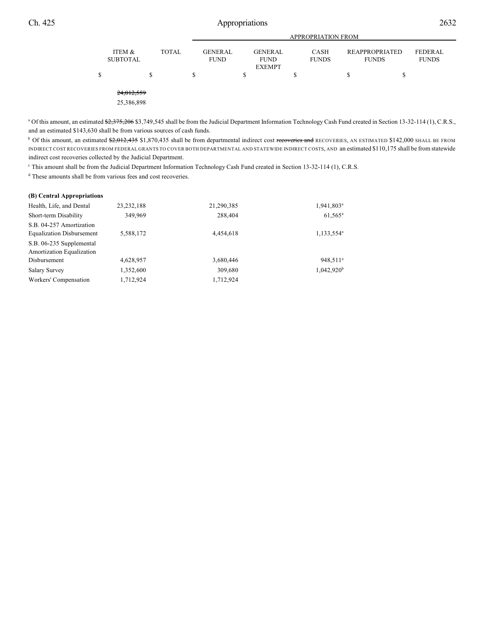|   |                           |              |                               | <b>APPROPRIATION FROM</b>                      |                             |                                       |                         |  |  |  |  |  |
|---|---------------------------|--------------|-------------------------------|------------------------------------------------|-----------------------------|---------------------------------------|-------------------------|--|--|--|--|--|
|   | ITEM &<br><b>SUBTOTAL</b> | <b>TOTAL</b> | <b>GENERAL</b><br><b>FUND</b> | <b>GENERAL</b><br><b>FUND</b><br><b>EXEMPT</b> | <b>CASH</b><br><b>FUNDS</b> | <b>REAPPROPRIATED</b><br><b>FUNDS</b> | FEDERAL<br><b>FUNDS</b> |  |  |  |  |  |
| S |                           | S            | \$                            | \$                                             | \$                          |                                       | Œ                       |  |  |  |  |  |
|   | 24,012,559<br>25,386,898  |              |                               |                                                |                             |                                       |                         |  |  |  |  |  |

<sup>a</sup> Of this amount, an estimated \$2,375,206 \$3,749,545 shall be from the Judicial Department Information Technology Cash Fund created in Section 13-32-114 (1), C.R.S., and an estimated \$143,630 shall be from various sources of cash funds.

<sup>b</sup> Of this amount, an estimated \$2,012,435 \$1,870,435 shall be from departmental indirect cost recoveries and RECOVERIES, AN ESTIMATED \$142,000 SHALL BE FROM INDIRECT COST RECOVERIES FROM FEDERAL GRANTS TO COVER BOTH DEPARTMENTAL AND STATEWIDE INDIRECT COSTS, AND an estimated \$110,175 shall be from statewide indirect cost recoveries collected by the Judicial Department.

<sup>c</sup> This amount shall be from the Judicial Department Information Technology Cash Fund created in Section 13-32-114 (1), C.R.S.

<sup>d</sup> These amounts shall be from various fees and cost recoveries.

| (B) Central Appropriations                            |              |            |                        |
|-------------------------------------------------------|--------------|------------|------------------------|
| Health, Life, and Dental                              | 23, 232, 188 | 21,290,385 | 1,941,803 <sup>a</sup> |
| Short-term Disability                                 | 349.969      | 288,404    | $61,565^{\rm a}$       |
| S.B. 04-257 Amortization                              |              |            |                        |
| <b>Equalization Disbursement</b>                      | 5,588,172    | 4,454,618  | 1,133,554 <sup>a</sup> |
| S.B. 06-235 Supplemental<br>Amortization Equalization |              |            |                        |
| Disbursement                                          | 4,628,957    | 3,680,446  | 948,511 <sup>a</sup>   |
|                                                       |              |            |                        |
| <b>Salary Survey</b>                                  | 1,352,600    | 309,680    | $1,042,920^b$          |
| Workers' Compensation                                 | 1,712,924    | 1,712,924  |                        |
|                                                       |              |            |                        |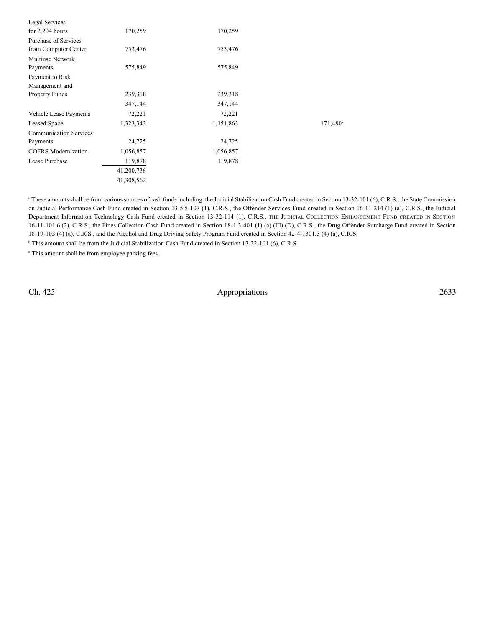| Legal Services                |            |           |                   |
|-------------------------------|------------|-----------|-------------------|
| for $2,204$ hours             | 170,259    | 170,259   |                   |
| Purchase of Services          |            |           |                   |
| from Computer Center          | 753,476    | 753,476   |                   |
| <b>Multiuse Network</b>       |            |           |                   |
| Payments                      | 575,849    | 575,849   |                   |
| Payment to Risk               |            |           |                   |
| Management and                |            |           |                   |
| <b>Property Funds</b>         | 239,318    | 239,318   |                   |
|                               | 347,144    | 347,144   |                   |
| Vehicle Lease Payments        | 72,221     | 72,221    |                   |
| Leased Space                  | 1,323,343  | 1,151,863 | $171,480^{\circ}$ |
| <b>Communication Services</b> |            |           |                   |
| Payments                      | 24,725     | 24,725    |                   |
| <b>COFRS</b> Modernization    | 1,056,857  | 1,056,857 |                   |
| Lease Purchase                | 119,878    | 119,878   |                   |
|                               | 41,200,736 |           |                   |
|                               | 41,308,562 |           |                   |
|                               |            |           |                   |

<sup>a</sup> These amounts shall be from various sources of cash funds including: the Judicial Stabilization Cash Fund created in Section 13-32-101 (6), C.R.S., the State Commission on Judicial Performance Cash Fund created in Section 13-5.5-107 (1), C.R.S., the Offender Services Fund created in Section 16-11-214 (1) (a), C.R.S., the Judicial Department Information Technology Cash Fund created in Section 13-32-114 (1), C.R.S., THE JUDICIAL COLLECTION ENHANCEMENT FUND CREATED IN SECTION 16-11-101.6 (2), C.R.S., the Fines Collection Cash Fund created in Section 18-1.3-401 (1) (a) (III) (D), C.R.S., the Drug Offender Surcharge Fund created in Section 18-19-103 (4) (a), C.R.S., and the Alcohol and Drug Driving Safety Program Fund created in Section 42-4-1301.3 (4) (a), C.R.S.

<sup>b</sup> This amount shall be from the Judicial Stabilization Cash Fund created in Section 13-32-101 (6), C.R.S.

<sup>c</sup> This amount shall be from employee parking fees.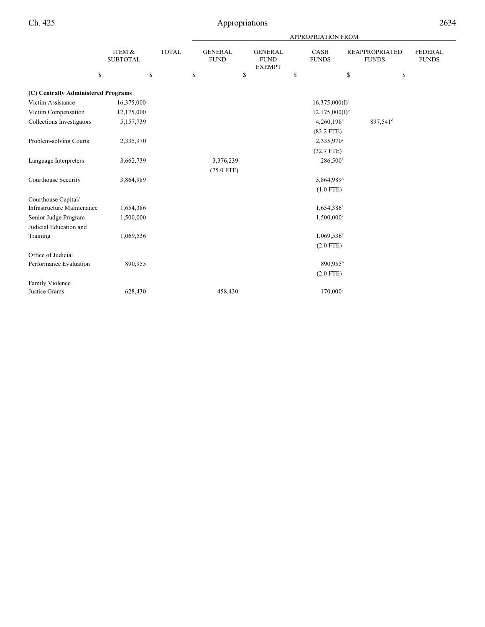|                                     |                           |              | <b>APPROPRIATION FROM</b> |                               |    |                                                |    |                          |    |                                       |                                |
|-------------------------------------|---------------------------|--------------|---------------------------|-------------------------------|----|------------------------------------------------|----|--------------------------|----|---------------------------------------|--------------------------------|
|                                     | ITEM &<br><b>SUBTOTAL</b> | <b>TOTAL</b> |                           | <b>GENERAL</b><br><b>FUND</b> |    | <b>GENERAL</b><br><b>FUND</b><br><b>EXEMPT</b> |    | CASH<br><b>FUNDS</b>     |    | <b>REAPPROPRIATED</b><br><b>FUNDS</b> | <b>FEDERAL</b><br><b>FUNDS</b> |
| \$                                  |                           | \$           | \$                        |                               | \$ |                                                | \$ |                          | \$ | \$                                    |                                |
| (C) Centrally Administered Programs |                           |              |                           |                               |    |                                                |    |                          |    |                                       |                                |
| Victim Assistance                   | 16,375,000                |              |                           |                               |    |                                                |    | $16,375,000(I)^a$        |    |                                       |                                |
| Victim Compensation                 | 12,175,000                |              |                           |                               |    |                                                |    | $12,175,000(I)^{b}$      |    |                                       |                                |
| Collections Investigators           | 5,157,739                 |              |                           |                               |    |                                                |    | $4,260,198^{\circ}$      |    | 897,541 <sup>d</sup>                  |                                |
|                                     |                           |              |                           |                               |    |                                                |    | $(83.2$ FTE)             |    |                                       |                                |
| Problem-solving Courts              | 2,335,970                 |              |                           |                               |    |                                                |    | 2,335,970 <sup>e</sup>   |    |                                       |                                |
|                                     |                           |              |                           |                               |    |                                                |    | $(32.7$ FTE)             |    |                                       |                                |
| Language Interpreters               | 3,662,739                 |              |                           | 3,376,239                     |    |                                                |    | 286,500 <sup>f</sup>     |    |                                       |                                |
|                                     |                           |              |                           | $(25.0$ FTE)                  |    |                                                |    |                          |    |                                       |                                |
| Courthouse Security                 | 3,864,989                 |              |                           |                               |    |                                                |    | 3,864,989 <sup>g</sup>   |    |                                       |                                |
|                                     |                           |              |                           |                               |    |                                                |    | $(1.0$ FTE)              |    |                                       |                                |
| Courthouse Capital/                 |                           |              |                           |                               |    |                                                |    |                          |    |                                       |                                |
| Infrastructure Maintenance          | 1,654,386                 |              |                           |                               |    |                                                |    | $1,654,386^e$            |    |                                       |                                |
| Senior Judge Program                | 1,500,000                 |              |                           |                               |    |                                                |    | 1,500,000 <sup>e</sup>   |    |                                       |                                |
| Judicial Education and              |                           |              |                           |                               |    |                                                |    |                          |    |                                       |                                |
| Training                            | 1,069,536                 |              |                           |                               |    |                                                |    | $1,069,536$ <sup>e</sup> |    |                                       |                                |
|                                     |                           |              |                           |                               |    |                                                |    | $(2.0$ FTE)              |    |                                       |                                |
| Office of Judicial                  |                           |              |                           |                               |    |                                                |    |                          |    |                                       |                                |
| Performance Evaluation              | 890,955                   |              |                           |                               |    |                                                |    | $890.955^h$              |    |                                       |                                |
|                                     |                           |              |                           |                               |    |                                                |    | $(2.0$ FTE)              |    |                                       |                                |
| Family Violence                     |                           |              |                           |                               |    |                                                |    |                          |    |                                       |                                |
| Justice Grants                      | 628,430                   |              |                           | 458,430                       |    |                                                |    | $170,000^{\rm i}$        |    |                                       |                                |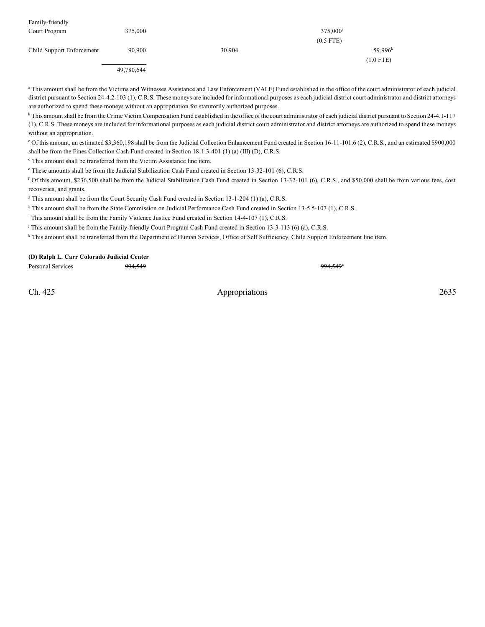| Family-friendly           |            |        |              |  |  |
|---------------------------|------------|--------|--------------|--|--|
| Court Program             | 375,000    |        | 375,000      |  |  |
|                           |            |        | $(0.5$ FTE)  |  |  |
| Child Support Enforcement | 90,900     | 30,904 | $59.996^{k}$ |  |  |
|                           |            |        | $(1.0$ FTE)  |  |  |
|                           | 49,780,644 |        |              |  |  |

<sup>a</sup> This amount shall be from the Victims and Witnesses Assistance and Law Enforcement (VALE) Fund established in the office of the court administrator of each judicial district pursuant to Section 24-4.2-103 (1), C.R.S. These moneys are included for informational purposes as each judicial district court administrator and district attorneys are authorized to spend these moneys without an appropriation for statutorily authorized purposes.

<sup>b</sup> This amount shall be from the Crime Victim Compensation Fund established in the office of the court administrator of each judicial district pursuant to Section 24-4.1-117 (1), C.R.S. These moneys are included for informational purposes as each judicial district court administrator and district attorneys are authorized to spend these moneys without an appropriation.

Of this amount, an estimated \$3,360,198 shall be from the Judicial Collection Enhancement Fund created in Section 16-11-101.6 (2), C.R.S., and an estimated \$900,000 <sup>c</sup> shall be from the Fines Collection Cash Fund created in Section 18-1.3-401 (1) (a) (III) (D), C.R.S.

<sup>d</sup> This amount shall be transferred from the Victim Assistance line item.

<sup>e</sup> These amounts shall be from the Judicial Stabilization Cash Fund created in Section 13-32-101 (6), C.R.S.

<sup>f</sup> Of this amount, \$236,500 shall be from the Judicial Stabilization Cash Fund created in Section 13-32-101 (6), C.R.S., and \$50,000 shall be from various fees, cost recoveries, and grants.

<sup>g</sup> This amount shall be from the Court Security Cash Fund created in Section 13-1-204 (1) (a), C.R.S.

<sup>h</sup> This amount shall be from the State Commission on Judicial Performance Cash Fund created in Section 13-5.5-107 (1), C.R.S.

<sup>i</sup> This amount shall be from the Family Violence Justice Fund created in Section 14-4-107 (1), C.R.S.

<sup>j</sup> This amount shall be from the Family-friendly Court Program Cash Fund created in Section 13-3-113 (6) (a), C.R.S.

k This amount shall be transferred from the Department of Human Services, Office of Self Sufficiency, Child Support Enforcement line item.

#### **(D) Ralph L. Carr Colorado Judicial Center**

Personal Services 994,549

Ch. 425 Appropriations 2635

994,549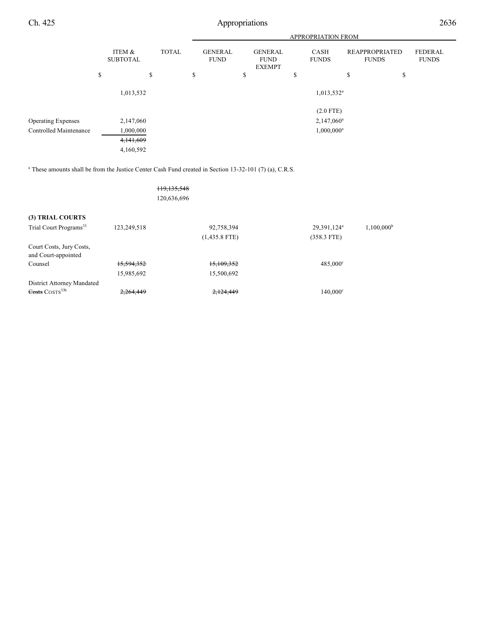|                           |                           |              | <b>APPROPRIATION FROM</b> |                               |    |                                                |    |                                         |                                       |    |                                |
|---------------------------|---------------------------|--------------|---------------------------|-------------------------------|----|------------------------------------------------|----|-----------------------------------------|---------------------------------------|----|--------------------------------|
|                           | ITEM &<br><b>SUBTOTAL</b> | <b>TOTAL</b> |                           | <b>GENERAL</b><br><b>FUND</b> |    | <b>GENERAL</b><br><b>FUND</b><br><b>EXEMPT</b> |    | <b>CASH</b><br><b>FUNDS</b>             | <b>REAPPROPRIATED</b><br><b>FUNDS</b> |    | <b>FEDERAL</b><br><b>FUNDS</b> |
|                           | \$<br>\$                  |              | \$                        |                               | \$ |                                                | \$ |                                         | \$                                    | \$ |                                |
|                           | 1,013,532                 |              |                           |                               |    |                                                |    | $1,013,532$ <sup>a</sup><br>$(2.0$ FTE) |                                       |    |                                |
| <b>Operating Expenses</b> | 2,147,060                 |              |                           |                               |    |                                                |    | $2,147,060^a$                           |                                       |    |                                |
| Controlled Maintenance    | 1,000,000                 |              |                           |                               |    |                                                |    | $1,000,000^a$                           |                                       |    |                                |
|                           | 4,141,609                 |              |                           |                               |    |                                                |    |                                         |                                       |    |                                |
|                           | 4,160,592                 |              |                           |                               |    |                                                |    |                                         |                                       |    |                                |

 $^{\circ}$  These amounts shall be from the Justice Center Cash Fund created in Section 13-32-101 (7) (a), C.R.S.

119,135,548 120,636,696

## **(3) TRIAL COURTS**

| Trial Court Programs <sup>33</sup>   | 123,249,518 | 92,758,394      | 29,391,124 <sup>a</sup> | $1,100,000^{\rm b}$ |
|--------------------------------------|-------------|-----------------|-------------------------|---------------------|
|                                      |             | $(1,435.8$ FTE) | $(358.3$ FTE)           |                     |
| Court Costs, Jury Costs,             |             |                 |                         |                     |
| and Court-appointed                  |             |                 |                         |                     |
| Counsel                              | 15,594,352  | 15.109.352      | $485.000^{\circ}$       |                     |
|                                      | 15,985,692  | 15,500,692      |                         |                     |
| District Attorney Mandated           |             |                 |                         |                     |
| $\frac{1}{100}$ COSTS <sup>33b</sup> | 2,264,449   | 2,124,449       | $140,000^{\circ}$       |                     |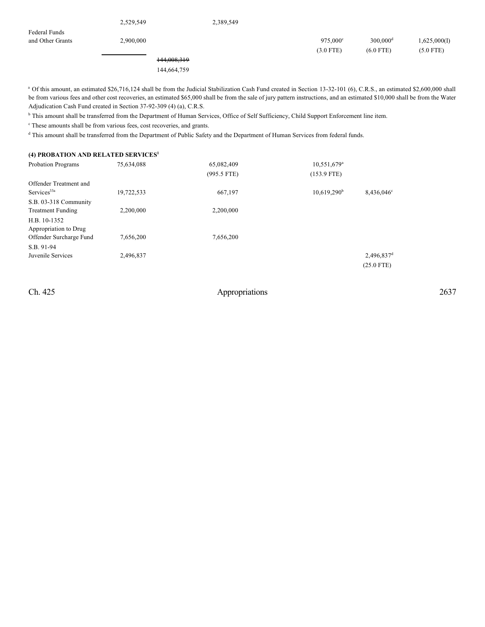2,529,549 2,389,549

and Other Grants 2,900,000 975,000 300,000 1,625,000(I)  $975,000^{\circ}$   $300,000^{\circ}$ (3.0 FTE) (6.0 FTE) (5.0 FTE)

> 144,008,319 144,664,759

<sup>a</sup> Of this amount, an estimated \$26,716,124 shall be from the Judicial Stabilization Cash Fund created in Section 13-32-101 (6), C.R.S., an estimated \$2,600,000 shall be from various fees and other cost recoveries, an estimated \$65,000 shall be from the sale of jury pattern instructions, and an estimated \$10,000 shall be from the Water Adjudication Cash Fund created in Section 37-92-309 (4) (a), C.R.S.

<sup>b</sup> This amount shall be transferred from the Department of Human Services, Office of Self Sufficiency, Child Support Enforcement line item.

<sup>c</sup> These amounts shall be from various fees, cost recoveries, and grants.

 $d$  This amount shall be transferred from the Department of Public Safety and the Department of Human Services from federal funds.

#### **(4) PROBATION AND RELATED SERVICES 1**

| <b>Probation Programs</b>  | 75,634,088 | 65,082,409    | 10,551,679 <sup>a</sup> |                        |
|----------------------------|------------|---------------|-------------------------|------------------------|
|                            |            | $(995.5$ FTE) | $(153.9$ FTE)           |                        |
| Offender Treatment and     |            |               |                         |                        |
| $S$ ervices <sup>33a</sup> | 19,722,533 | 667,197       | 10,619,290 <sup>b</sup> | 8.436,046 <sup>c</sup> |
| S.B. 03-318 Community      |            |               |                         |                        |
| <b>Treatment Funding</b>   | 2,200,000  | 2,200,000     |                         |                        |
| H.B. 10-1352               |            |               |                         |                        |
| Appropriation to Drug      |            |               |                         |                        |
| Offender Surcharge Fund    | 7,656,200  | 7,656,200     |                         |                        |
| S.B. 91-94                 |            |               |                         |                        |
| Juvenile Services          | 2,496,837  |               |                         | 2,496,837 <sup>d</sup> |
|                            |            |               |                         | $(25.0$ FTE)           |

Federal Funds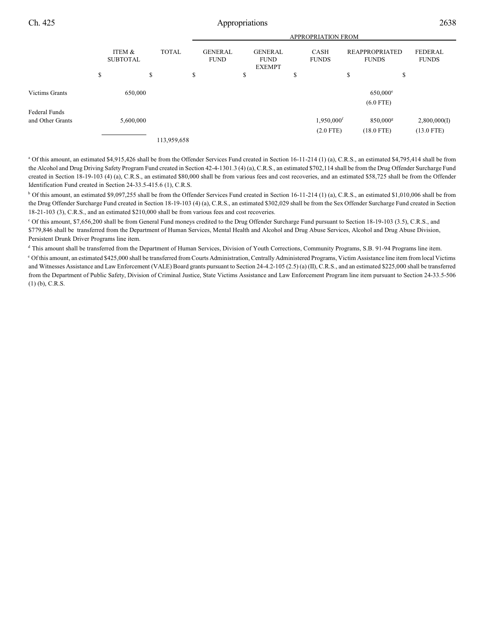|                       |                                           |             | <b>APPROPRIATION FROM</b>     |    |                                                |        |                             |                                       |              |                |  |
|-----------------------|-------------------------------------------|-------------|-------------------------------|----|------------------------------------------------|--------|-----------------------------|---------------------------------------|--------------|----------------|--|
|                       | ITEM &<br><b>TOTAL</b><br><b>SUBTOTAL</b> |             | <b>GENERAL</b><br><b>FUND</b> |    | <b>GENERAL</b><br><b>FUND</b><br><b>EXEMPT</b> |        | <b>CASH</b><br><b>FUNDS</b> | <b>REAPPROPRIATED</b><br><b>FUNDS</b> | <b>FUNDS</b> | <b>FEDERAL</b> |  |
|                       | \$<br>\$                                  | \$          |                               | \$ |                                                | œ<br>D |                             | \$                                    | \$           |                |  |
| <b>Victims Grants</b> | 650,000                                   |             |                               |    |                                                |        |                             | $650,000$ <sup>e</sup>                |              |                |  |
|                       |                                           |             |                               |    |                                                |        |                             | $(6.0$ FTE)                           |              |                |  |
| Federal Funds         |                                           |             |                               |    |                                                |        |                             |                                       |              |                |  |
| and Other Grants      | 5,600,000                                 |             |                               |    |                                                |        | 1,950,000 <sup>f</sup>      | $850,000$ <sup>g</sup>                | 2,800,000(I) |                |  |
|                       |                                           |             |                               |    |                                                |        | $(2.0$ FTE)                 | $(18.0$ FTE)                          | $(13.0$ FTE) |                |  |
|                       |                                           | 113,959,658 |                               |    |                                                |        |                             |                                       |              |                |  |

<sup>a</sup> Of this amount, an estimated \$4,915,426 shall be from the Offender Services Fund created in Section 16-11-214 (1) (a), C.R.S., an estimated \$4,795,414 shall be from the Alcohol and Drug Driving Safety Program Fund created in Section 42-4-1301.3 (4) (a), C.R.S., an estimated \$702,114 shall be from the Drug Offender Surcharge Fund created in Section 18-19-103 (4) (a), C.R.S., an estimated \$80,000 shall be from various fees and cost recoveries, and an estimated \$58,725 shall be from the Offender Identification Fund created in Section 24-33.5-415.6 (1), C.R.S.

<sup>b</sup> Of this amount, an estimated \$9,097,255 shall be from the Offender Services Fund created in Section 16-11-214 (1) (a), C.R.S., an estimated \$1,010,006 shall be from the Drug Offender Surcharge Fund created in Section 18-19-103 (4) (a), C.R.S., an estimated \$302,029 shall be from the Sex Offender Surcharge Fund created in Section 18-21-103 (3), C.R.S., and an estimated \$210,000 shall be from various fees and cost recoveries.

<sup>c</sup> Of this amount, \$7,656,200 shall be from General Fund moneys credited to the Drug Offender Surcharge Fund pursuant to Section 18-19-103 (3.5), C.R.S., and \$779,846 shall be transferred from the Department of Human Services, Mental Health and Alcohol and Drug Abuse Services, Alcohol and Drug Abuse Division, Persistent Drunk Driver Programs line item.

<sup>d</sup> This amount shall be transferred from the Department of Human Services, Division of Youth Corrections, Community Programs, S.B. 91-94 Programs line item.  $°$  Of this amount, an estimated \$425,000 shall be transferred from Courts Administration, Centrally Administered Programs, Victim Assistance line item from local Victims and Witnesses Assistance and Law Enforcement (VALE) Board grants pursuant to Section 24-4.2-105 (2.5) (a) (II), C.R.S., and an estimated \$225,000 shall be transferred from the Department of Public Safety, Division of Criminal Justice, State Victims Assistance and Law Enforcement Program line item pursuant to Section 24-33.5-506 (1) (b), C.R.S.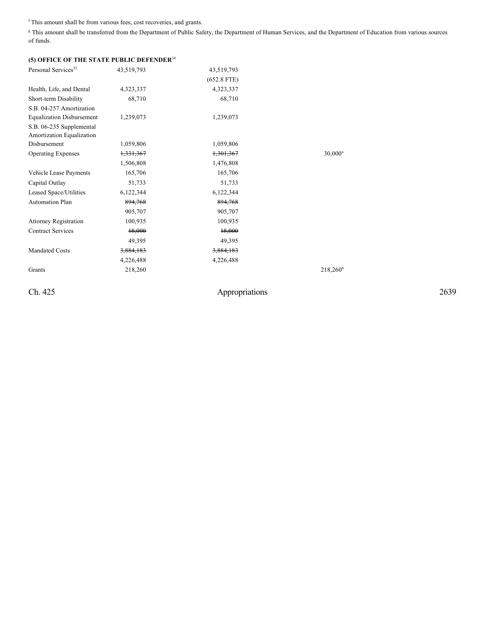$f$ This amount shall be from various fees, cost recoveries, and grants.

<sup>g</sup> This amount shall be transferred from the Department of Public Safety, the Department of Human Services, and the Department of Education from various sources of funds.

| (5) OFFICE OF THE STATE PUBLIC DEFENDER <sup>34</sup> |                      |                      |             |
|-------------------------------------------------------|----------------------|----------------------|-------------|
| Personal Services <sup>33</sup>                       | 43,519,793           | 43,519,793           |             |
|                                                       |                      | $(652.8$ FTE)        |             |
| Health, Life, and Dental                              | 4,323,337            | 4,323,337            |             |
| Short-term Disability                                 | 68,710               | 68,710               |             |
| S.B. 04-257 Amortization                              |                      |                      |             |
| <b>Equalization Disbursement</b>                      | 1,239,073            | 1,239,073            |             |
| S.B. 06-235 Supplemental<br>Amortization Equalization |                      |                      |             |
| Disbursement                                          | 1,059,806            | 1,059,806            |             |
| <b>Operating Expenses</b>                             | <del>1,331,367</del> | <del>1,301,367</del> | $30,000^a$  |
|                                                       | 1,506,808            | 1,476,808            |             |
| Vehicle Lease Payments                                | 165,706              | 165,706              |             |
| Capital Outlay                                        | 51,733               | 51,733               |             |
| Leased Space/Utilities                                | 6,122,344            | 6,122,344            |             |
| <b>Automation Plan</b>                                | 894,768              | 894,768              |             |
|                                                       | 905,707              | 905,707              |             |
| <b>Attorney Registration</b>                          | 100,935              | 100,935              |             |
| <b>Contract Services</b>                              | 18,000               | 18,000               |             |
|                                                       | 49,395               | 49,395               |             |
| <b>Mandated Costs</b>                                 | 3,884,183            | 3,884,183            |             |
|                                                       | 4,226,488            | 4,226,488            |             |
| Grants                                                | 218,260              |                      | $218,260^b$ |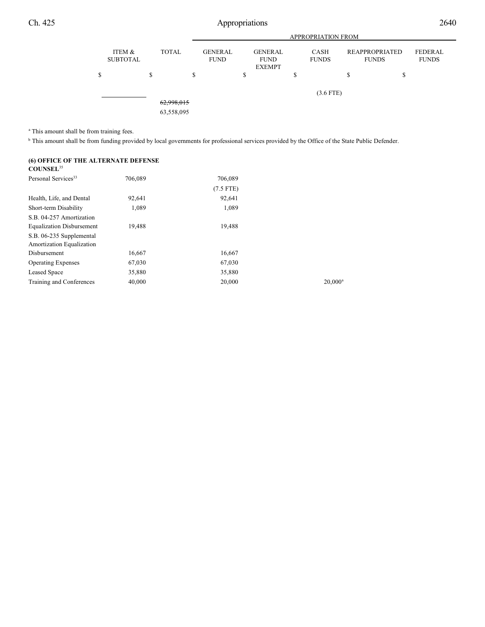

<sup>a</sup> This amount shall be from training fees.

<sup>b</sup> This amount shall be from funding provided by local governments for professional services provided by the Office of the State Public Defender.

706,089

| (6) OFFICE OF THE ALTERNATE DEFENSE<br><b>COUNSEL</b> <sup>35</sup> |         |  |  |
|---------------------------------------------------------------------|---------|--|--|
| Personal Services <sup>33</sup>                                     | 706.089 |  |  |

| 92,641 | 92,641 |                       |
|--------|--------|-----------------------|
| 1,089  | 1,089  |                       |
|        |        |                       |
| 19,488 | 19,488 |                       |
|        |        |                       |
|        |        |                       |
| 16,667 | 16,667 |                       |
| 67,030 | 67,030 |                       |
| 35,880 | 35,880 |                       |
| 40,000 | 20,000 | $20.000$ <sup>a</sup> |
|        |        | $(7.5$ FTE)           |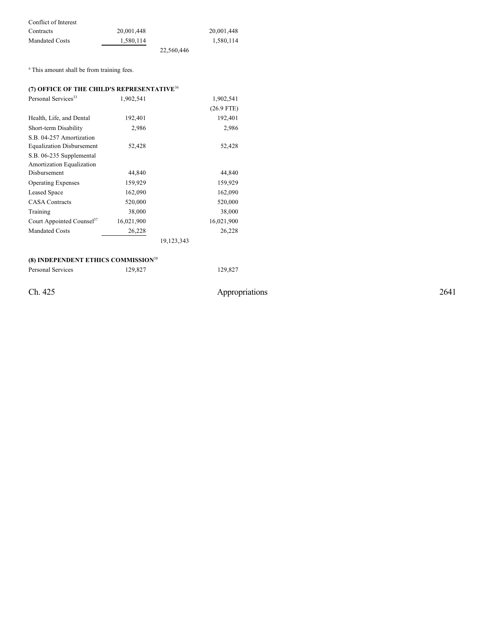| Conflict of Interest  |            |            |            |
|-----------------------|------------|------------|------------|
| Contracts             | 20.001.448 |            | 20,001,448 |
| <b>Mandated Costs</b> | 1.580.114  |            | 1,580,114  |
|                       |            | 22.560,446 |            |

<sup>a</sup> This amount shall be from training fees.

## **(7) OFFICE OF THE CHILD'S REPRESENTATIVE**<sup>36</sup>

| Personal Services <sup>33</sup>       | 1,902,541  |            | 1,902,541    |
|---------------------------------------|------------|------------|--------------|
|                                       |            |            | $(26.9$ FTE) |
| Health, Life, and Dental              | 192,401    |            | 192,401      |
| Short-term Disability                 | 2,986      |            | 2,986        |
| S.B. 04-257 Amortization              |            |            |              |
| <b>Equalization Disbursement</b>      | 52,428     |            | 52,428       |
| S.B. 06-235 Supplemental              |            |            |              |
| Amortization Equalization             |            |            |              |
| Disbursement                          | 44,840     |            | 44,840       |
| <b>Operating Expenses</b>             | 159,929    |            | 159,929      |
| Leased Space                          | 162,090    |            | 162,090      |
| <b>CASA Contracts</b>                 | 520,000    |            | 520,000      |
| Training                              | 38,000     |            | 38,000       |
| Court Appointed Counsel <sup>37</sup> | 16,021,900 |            | 16,021,900   |
| <b>Mandated Costs</b>                 | 26,228     |            | 26,228       |
|                                       |            | 19,123,343 |              |

#### **(8) INDEPENDENT ETHICS COMMISSION** 38

Personal Services 129,827 129,827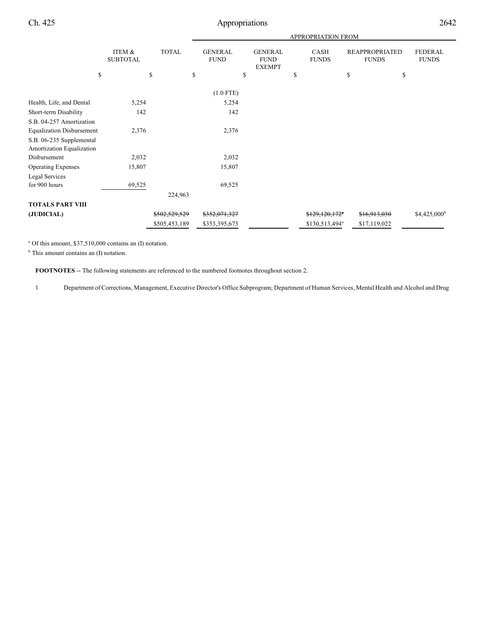|                                                       |                           |               |                               |                                                | APPROPRIATION FROM          |                                       |                                |
|-------------------------------------------------------|---------------------------|---------------|-------------------------------|------------------------------------------------|-----------------------------|---------------------------------------|--------------------------------|
|                                                       | ITEM &<br><b>SUBTOTAL</b> | <b>TOTAL</b>  | <b>GENERAL</b><br><b>FUND</b> | <b>GENERAL</b><br><b>FUND</b><br><b>EXEMPT</b> | CASH<br><b>FUNDS</b>        | <b>REAPPROPRIATED</b><br><b>FUNDS</b> | <b>FEDERAL</b><br><b>FUNDS</b> |
| \$                                                    |                           | \$<br>\$      |                               | \$                                             | \$                          | \$                                    | \$                             |
|                                                       |                           |               | $(1.0$ FTE)                   |                                                |                             |                                       |                                |
| Health, Life, and Dental                              | 5,254                     |               | 5,254                         |                                                |                             |                                       |                                |
| Short-term Disability                                 | 142                       |               | 142                           |                                                |                             |                                       |                                |
| S.B. 04-257 Amortization                              |                           |               |                               |                                                |                             |                                       |                                |
| <b>Equalization Disbursement</b>                      | 2,376                     |               | 2,376                         |                                                |                             |                                       |                                |
| S.B. 06-235 Supplemental<br>Amortization Equalization |                           |               |                               |                                                |                             |                                       |                                |
| Disbursement                                          | 2,032                     |               | 2,032                         |                                                |                             |                                       |                                |
| <b>Operating Expenses</b>                             | 15,807                    |               | 15,807                        |                                                |                             |                                       |                                |
| Legal Services                                        |                           |               |                               |                                                |                             |                                       |                                |
| for 900 hours                                         | 69,525                    |               | 69,525                        |                                                |                             |                                       |                                |
|                                                       |                           | 224,963       |                               |                                                |                             |                                       |                                |
| <b>TOTALS PART VIII</b>                               |                           |               |                               |                                                |                             |                                       |                                |
| (JUDICIAL)                                            |                           | \$502,529,529 | \$352,071,327                 |                                                | $$129,120,172$ <sup>*</sup> | \$16,913,030                          | $$4,425,000^{\rm b}$           |
|                                                       |                           | \$505,453,189 | \$353,395,673                 |                                                | \$130,513,494 <sup>a</sup>  | \$17,119,022                          |                                |
|                                                       |                           |               |                               |                                                |                             |                                       |                                |

<sup>a</sup> Of this amount, \$37,510,000 contains an (I) notation.

<sup>b</sup> This amount contains an (I) notation.

**FOOTNOTES** -- The following statements are referenced to the numbered footnotes throughout section 2.

1 Department of Corrections, Management, Executive Director's Office Subprogram; Department of Human Services, Mental Health and Alcohol and Drug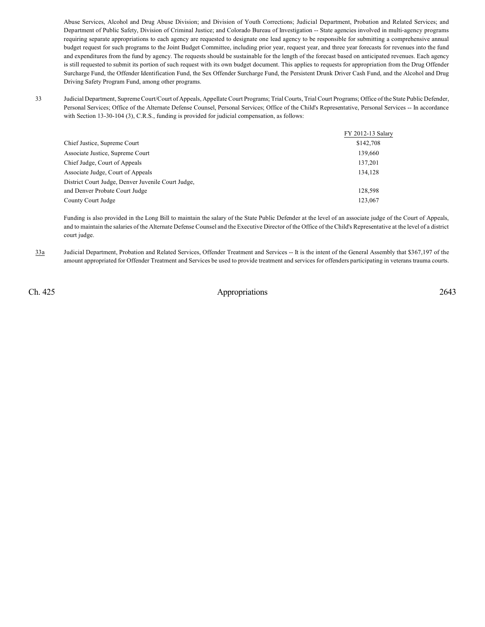Abuse Services, Alcohol and Drug Abuse Division; and Division of Youth Corrections; Judicial Department, Probation and Related Services; and Department of Public Safety, Division of Criminal Justice; and Colorado Bureau of Investigation -- State agencies involved in multi-agency programs requiring separate appropriations to each agency are requested to designate one lead agency to be responsible for submitting a comprehensive annual budget request for such programs to the Joint Budget Committee, including prior year, request year, and three year forecasts for revenues into the fund and expenditures from the fund by agency. The requests should be sustainable for the length of the forecast based on anticipated revenues. Each agency is still requested to submit its portion of such request with its own budget document. This applies to requests for appropriation from the Drug Offender Surcharge Fund, the Offender Identification Fund, the Sex Offender Surcharge Fund, the Persistent Drunk Driver Cash Fund, and the Alcohol and Drug Driving Safety Program Fund, among other programs.

33 Judicial Department, SupremeCourt/Court of Appeals, Appellate Court Programs; Trial Courts, Trial Court Programs; Office of the State Public Defender, Personal Services; Office of the Alternate Defense Counsel, Personal Services; Office of the Child's Representative, Personal Services -- In accordance with Section 13-30-104 (3), C.R.S., funding is provided for judicial compensation, as follows:

|                                                    | FY 2012-13 Salary |
|----------------------------------------------------|-------------------|
| Chief Justice, Supreme Court                       | \$142,708         |
| Associate Justice, Supreme Court                   | 139,660           |
| Chief Judge, Court of Appeals                      | 137,201           |
| Associate Judge, Court of Appeals                  | 134.128           |
| District Court Judge, Denver Juvenile Court Judge, |                   |
| and Denver Probate Court Judge                     | 128,598           |
| County Court Judge                                 | 123,067           |

Funding is also provided in the Long Bill to maintain the salary of the State Public Defender at the level of an associate judge of the Court of Appeals, and to maintain the salaries of the Alternate Defense Counsel and the Executive Director of the Office of the Child's Representative at the level of a district court judge.

33a Judicial Department, Probation and Related Services, Offender Treatment and Services -- It is the intent of the General Assembly that \$367,197 of the amount appropriated for Offender Treatment and Services be used to provide treatment and services for offenders participating in veterans trauma courts.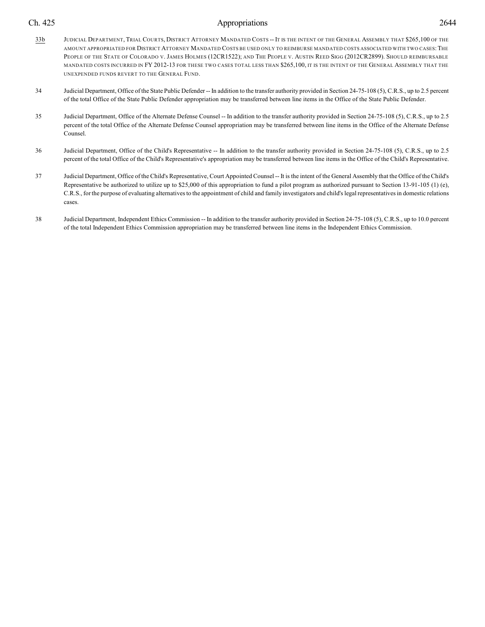- 33b JUDICIAL DEPARTMENT, TRIAL COURTS, DISTRICT ATTORNEY MANDATED COSTS -- IT IS THE INTENT OF THE GENERAL ASSEMBLY THAT \$265,100 OF THE AMOUNT APPROPRIATED FOR DISTRICT ATTORNEY MANDATED COSTS BE USED ONLY TO REIMBURSE MANDATED COSTS ASSOCIATED WITH TWO CASES:THE PEOPLE OF THE STATE OF COLORADO V. JAMES HOLMES (12CR1522); AND THE PEOPLE V. AUSTIN REED SIGG (2012CR2899). SHOULD REIMBURSABLE MANDATED COSTS INCURRED IN FY 2012-13 FOR THESE TWO CASES TOTAL LESS THAN \$265,100, IT IS THE INTENT OF THE GENERAL ASSEMBLY THAT THE UNEXPENDED FUNDS REVERT TO THE GENERAL FUND.
- 34 Judicial Department, Office of the State Public Defender -- In addition to the transfer authority provided in Section 24-75-108 (5), C.R.S., up to 2.5 percent of the total Office of the State Public Defender appropriation may be transferred between line items in the Office of the State Public Defender.
- 35 Judicial Department, Office of the Alternate Defense Counsel -- In addition to the transfer authority provided in Section 24-75-108 (5), C.R.S., up to 2.5 percent of the total Office of the Alternate Defense Counsel appropriation may be transferred between line items in the Office of the Alternate Defense Counsel.
- 36 Judicial Department, Office of the Child's Representative -- In addition to the transfer authority provided in Section 24-75-108 (5), C.R.S., up to 2.5 percent of the total Office of the Child's Representative's appropriation may be transferred between line items in the Office of the Child's Representative.
- 37 Judicial Department, Office of the Child's Representative, Court Appointed Counsel-- It is the intent of the General Assembly that the Office of the Child's Representative be authorized to utilize up to \$25,000 of this appropriation to fund a pilot program as authorized pursuant to Section 13-91-105 (1) (e), C.R.S., for the purpose of evaluating alternatives to the appointment of child and family investigators and child's legal representatives in domestic relations cases.
- 38 Judicial Department, Independent Ethics Commission -- In addition to the transfer authority provided in Section 24-75-108 (5), C.R.S., up to 10.0 percent of the total Independent Ethics Commission appropriation may be transferred between line items in the Independent Ethics Commission.